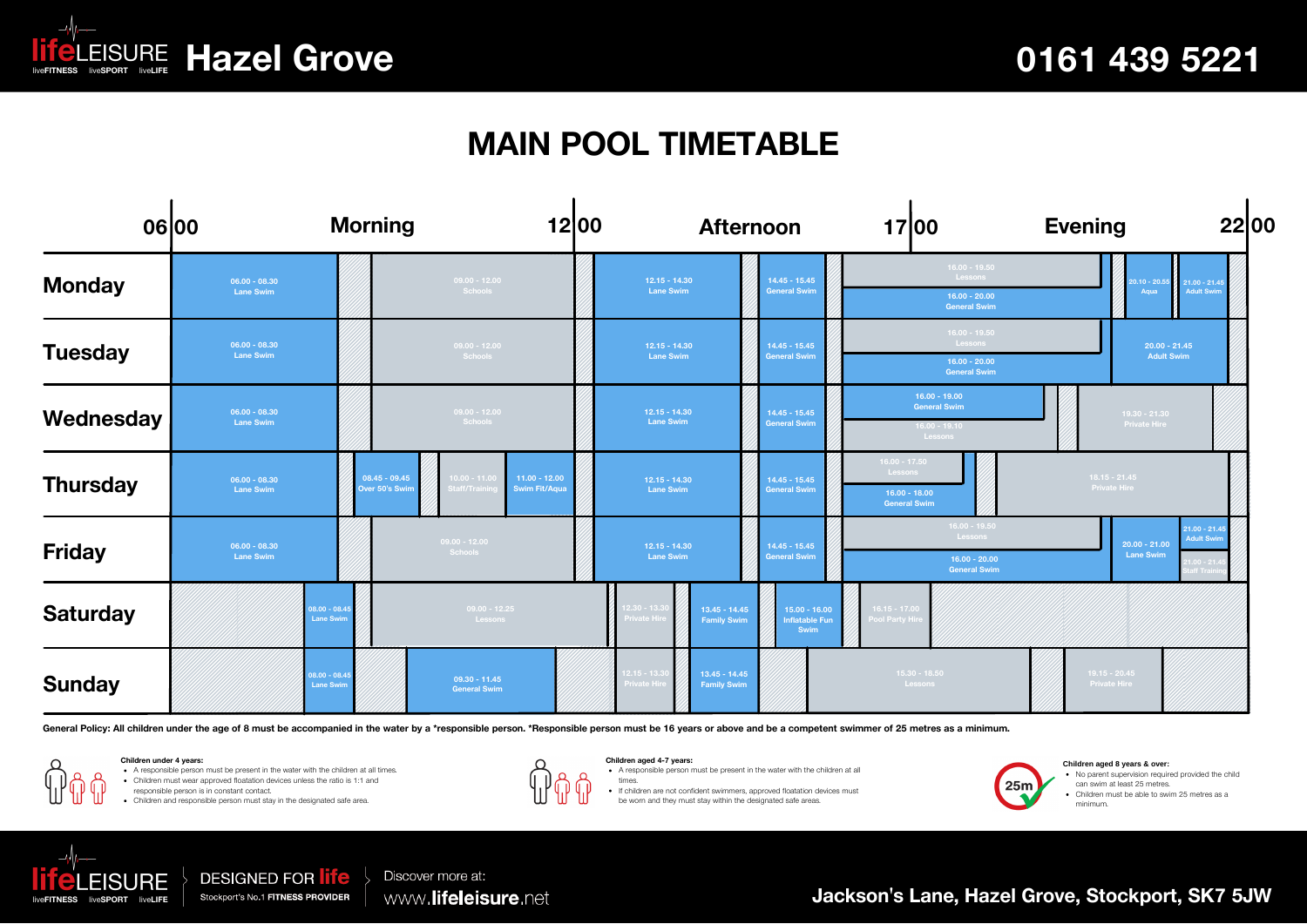

## **MAIN POOL TIMETABLE**

|                 | <b>Morning</b><br>06 00             |                                    |                                                                          | 1200 | <b>Afternoon</b>                                                                |                                           |  | 17 00                                                                | <b>Evening</b>                                                                                          | 2200                                                    |  |  |
|-----------------|-------------------------------------|------------------------------------|--------------------------------------------------------------------------|------|---------------------------------------------------------------------------------|-------------------------------------------|--|----------------------------------------------------------------------|---------------------------------------------------------------------------------------------------------|---------------------------------------------------------|--|--|
| <b>Monday</b>   | $06.00 - 08.30$<br><b>Lane Swim</b> |                                    | $09.00 - 12.00$<br>Schools                                               |      | $12.15 - 14.30$<br><b>Lane Swim</b>                                             | $14.45 - 15.45$<br><b>General Swim</b>    |  | $16.00 - 19.50$<br>Lessons<br>$16.00 - 20.00$<br><b>General Swim</b> |                                                                                                         | $0.10 - 20.55$<br>$21.00 - 21.45$<br>Adult Swim<br>Aqua |  |  |
| <b>Tuesday</b>  | $06.00 - 08.30$<br><b>Lane Swim</b> |                                    | $09.00 - 12.00$<br>Schools                                               |      | $12.15 - 14.30$<br>$14.45 - 15.45$<br><b>Lane Swim</b><br><b>General Swim</b>   |                                           |  | $16.00 - 19.50$<br>Lessons<br>$16.00 - 20.00$<br><b>General Swim</b> |                                                                                                         | $20.00 - 21.45$<br><b>Adult Swim</b>                    |  |  |
| Wednesday       | $06.00 - 08.30$<br><b>Lane Swim</b> |                                    | $09.00 - 12.00$<br>Schools                                               |      | $12.15 - 14.30$<br><b>Lane Swim</b>                                             | $14.45 - 15.45$<br><b>General Swim</b>    |  | $16.00 - 19.00$<br><b>General Swim</b><br>$16.00 - 19.10$<br>Lessons |                                                                                                         | $19.30 - 21.30$<br><b>Private Hire</b>                  |  |  |
| <b>Thursday</b> | $06.00 - 08.30$<br><b>Lane Swim</b> | $08.45 - 09.45$<br>Over 50's Swim  | $10.00 - 11.0$<br>$11.00 - 12.00$<br><b>Swim Fit/Aqua</b><br>taff/Traini |      | $12.15 - 14.30$<br><b>Lane Swim</b>                                             | $14.45 - 15.45$<br><b>General Swim</b>    |  | $16.00 - 17.50$<br>Lessons<br>$16.00 - 18.00$<br><b>General Swim</b> | $18.15 - 21.45$<br><b>Private Hire</b>                                                                  |                                                         |  |  |
| <b>Friday</b>   | $06.00 - 08.30$<br><b>Lane Swim</b> |                                    | $09.00 - 12.00$<br>Schools                                               |      | $12.15 - 14.30$<br><b>Lane Swim</b>                                             | $14.45 - 15.45$<br><b>General Swim</b>    |  | $16.00 - 19.50$<br>Lessons<br>$16.00 - 20.00$<br><b>General Swim</b> | $21.00 - 21.4$<br><b>Adult Swim</b><br>$20.00 - 21.00$<br><b>Lane Swim</b><br>$1.00 - 21.4$<br>ff Trair |                                                         |  |  |
| <b>Saturday</b> |                                     | $08.00 - 08.4$<br><b>Lane Swim</b> | $09.00 - 12.25$<br>Lessons                                               |      | $12.30 - 13.30$<br>$13.45 - 14.45$<br>rivate Hire<br><b>Family Swim</b>         | $15.00 - 16.00$<br>Inflatable Fun<br>Swim |  | $16.15 - 17.00$<br>Pool Party Hire                                   |                                                                                                         |                                                         |  |  |
| <b>Sunday</b>   |                                     | 08.00 - 08.4<br><b>Lane Swim</b>   | $09.30 - 11.45$<br><b>General Swim</b>                                   |      | $12.15 - 13.30$<br>$13.45 - 14.45$<br><b>Private Hire</b><br><b>Family Swim</b> |                                           |  | $15.30 - 18.50$<br>Lessons                                           |                                                                                                         | $19.15 - 20.45$<br><b>Private Hire</b>                  |  |  |

General Policy: All children under the age of 8 must be accompanied in the water by a \*responsible person. \*Responsible person must be 16 years or above and be a competent swimmer of 25 metres as a minimum.

**Children under 4 years:**

A responsible person must be present in the water with the children at all times.

Children must wear approved floatation devices unless the ratio is 1:1 and

responsible person is in constant contact. Children and responsible person must stay in the designated safe area.



**Children aged 4-7 years: Children aged 8 years & over:**<br>• A responsible person must be present in the water with the children at all **Children aged 4-7 years:**

times.

If children are not confident swimmers, approved floatation devices must

be worn and they must stay within the designated safe areas.



No parent supervision required provided the child

can swim at least 25 metres.

Children must be able to swim 25 metres as a minimum.



**DESIGNED FOR life** Stockport's No.1 FITNESS PROVIDER

Discover more at: www.lifeleisure.net

**Jackson's Lane, Hazel Grove, Stockport, SK7 5JW**